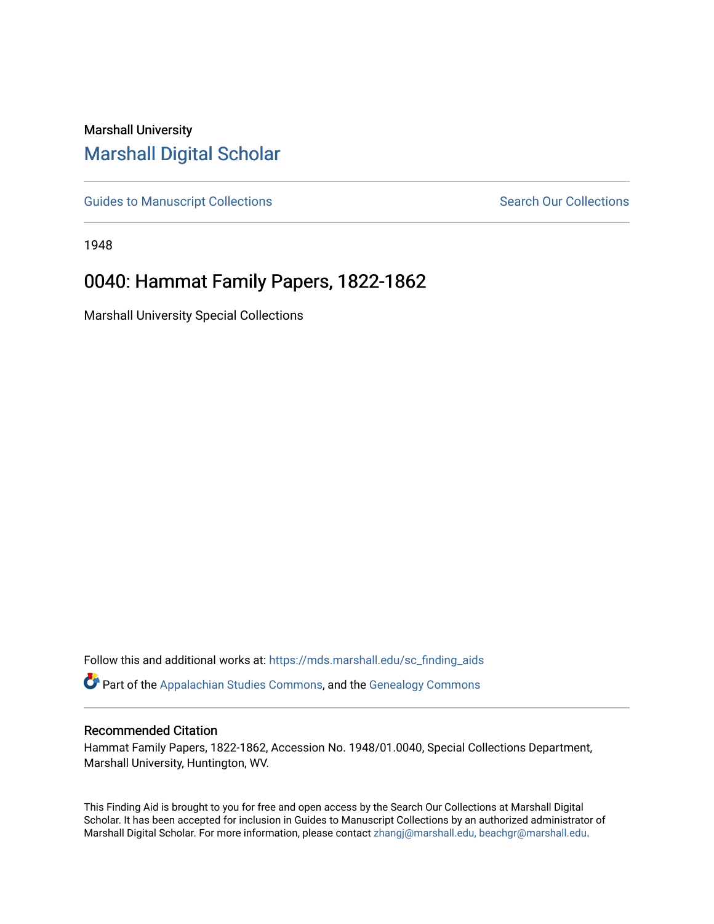# Marshall University [Marshall Digital Scholar](https://mds.marshall.edu/)

[Guides to Manuscript Collections](https://mds.marshall.edu/sc_finding_aids) **Search Our Collections** Search Our Collections

1948

# 0040: Hammat Family Papers, 1822-1862

Marshall University Special Collections

Follow this and additional works at: [https://mds.marshall.edu/sc\\_finding\\_aids](https://mds.marshall.edu/sc_finding_aids?utm_source=mds.marshall.edu%2Fsc_finding_aids%2F46&utm_medium=PDF&utm_campaign=PDFCoverPages)  Part of the [Appalachian Studies Commons,](http://network.bepress.com/hgg/discipline/1253?utm_source=mds.marshall.edu%2Fsc_finding_aids%2F46&utm_medium=PDF&utm_campaign=PDFCoverPages) and the [Genealogy Commons](http://network.bepress.com/hgg/discipline/1342?utm_source=mds.marshall.edu%2Fsc_finding_aids%2F46&utm_medium=PDF&utm_campaign=PDFCoverPages)

#### Recommended Citation

Hammat Family Papers, 1822-1862, Accession No. 1948/01.0040, Special Collections Department, Marshall University, Huntington, WV.

This Finding Aid is brought to you for free and open access by the Search Our Collections at Marshall Digital Scholar. It has been accepted for inclusion in Guides to Manuscript Collections by an authorized administrator of Marshall Digital Scholar. For more information, please contact [zhangj@marshall.edu, beachgr@marshall.edu](mailto:zhangj@marshall.edu,%20beachgr@marshall.edu).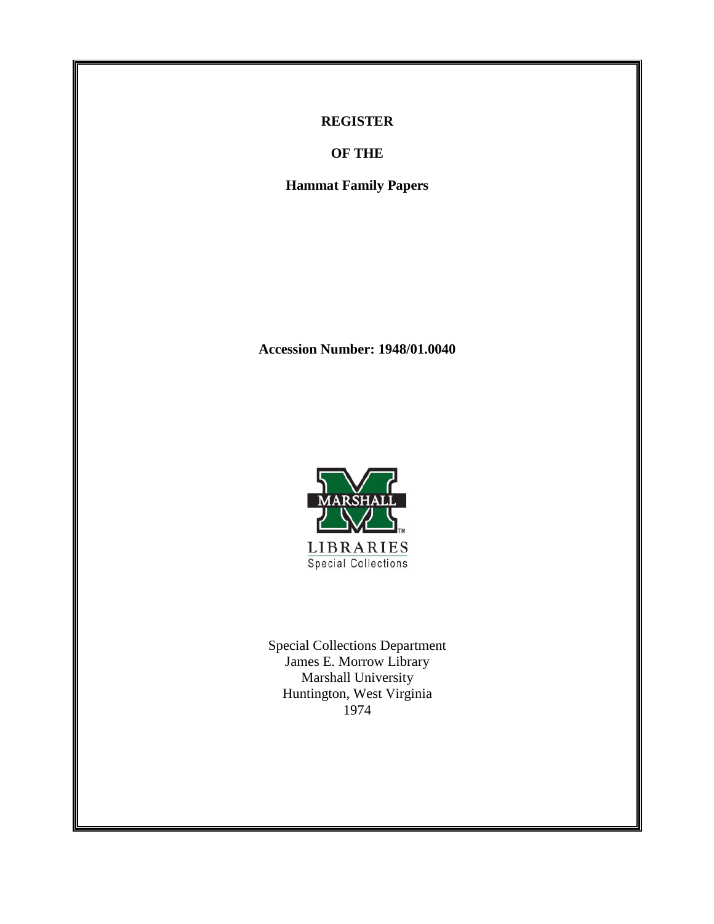### **REGISTER**

**OF THE**

**Hammat Family Papers**

**Accession Number: 1948/01.0040**



Special Collections Department James E. Morrow Library Marshall University Huntington, West Virginia 1974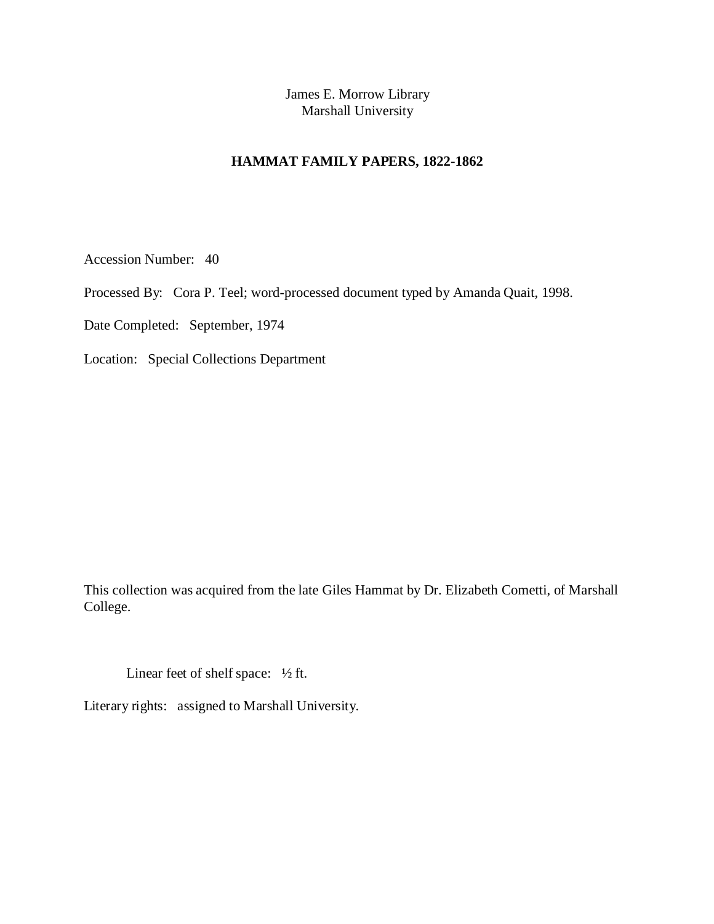James E. Morrow Library Marshall University

## **HAMMAT FAMILY PAPERS, 1822-1862**

Accession Number: 40

Processed By: Cora P. Teel; word-processed document typed by Amanda Quait, 1998.

Date Completed: September, 1974

Location: Special Collections Department

This collection was acquired from the late Giles Hammat by Dr. Elizabeth Cometti, of Marshall College.

Linear feet of shelf space:  $\frac{1}{2}$  ft.

Literary rights: assigned to Marshall University.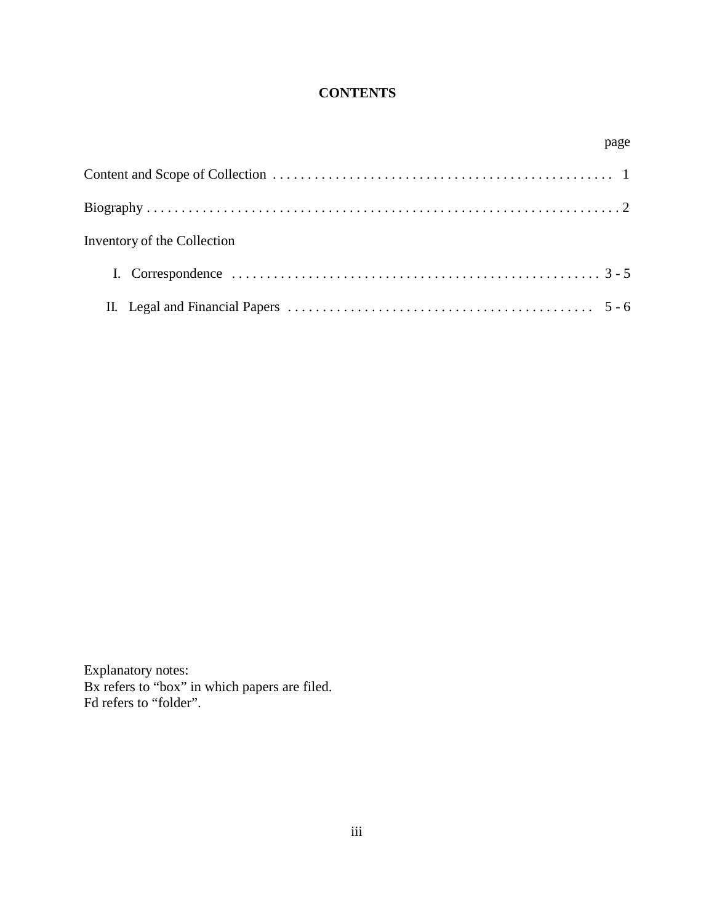# **CONTENTS**

| page                        |  |
|-----------------------------|--|
|                             |  |
|                             |  |
| Inventory of the Collection |  |
|                             |  |
|                             |  |

Explanatory notes: Bx refers to "box" in which papers are filed. Fd refers to "folder".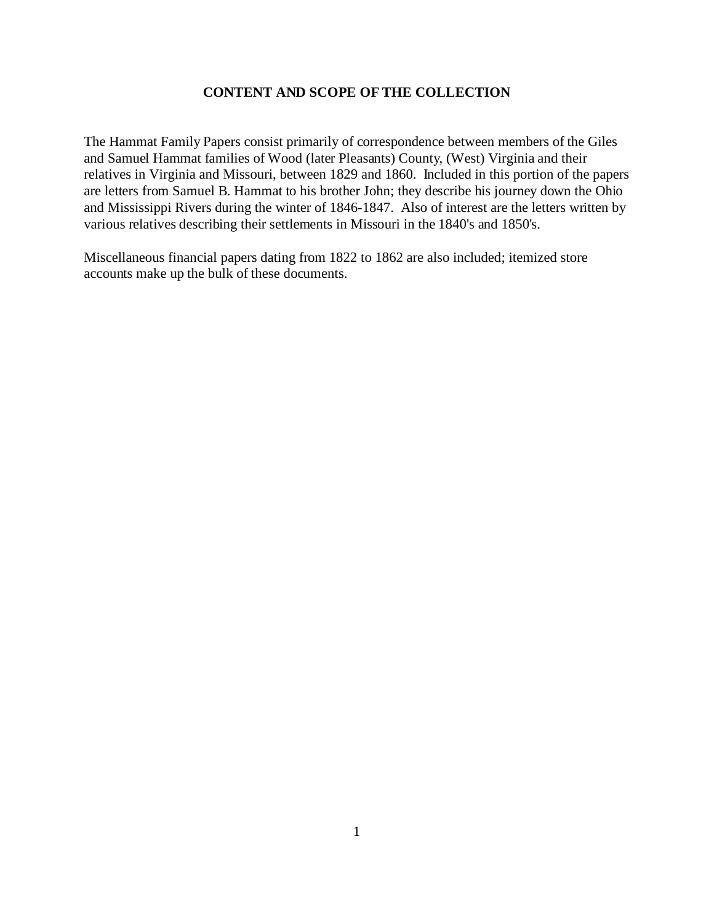### **CONTENT AND SCOPE OF THE COLLECTION**

The Hammat Family Papers consist primarily of correspondence between members of the Giles and Samuel Hammat families of Wood (later Pleasants) County, (West) Virginia and their relatives in Virginia and Missouri, between 1829 and 1860. Included in this portion of the papers are letters from Samuel B. Hammat to his brother John; they describe his journey down the Ohio and Mississippi Rivers during the winter of 1846-1847. Also of interest are the letters written by various relatives describing their settlements in Missouri in the 1840's and 1850's.

Miscellaneous financial papers dating from 1822 to 1862 are also included; itemized store accounts make up the bulk of these documents.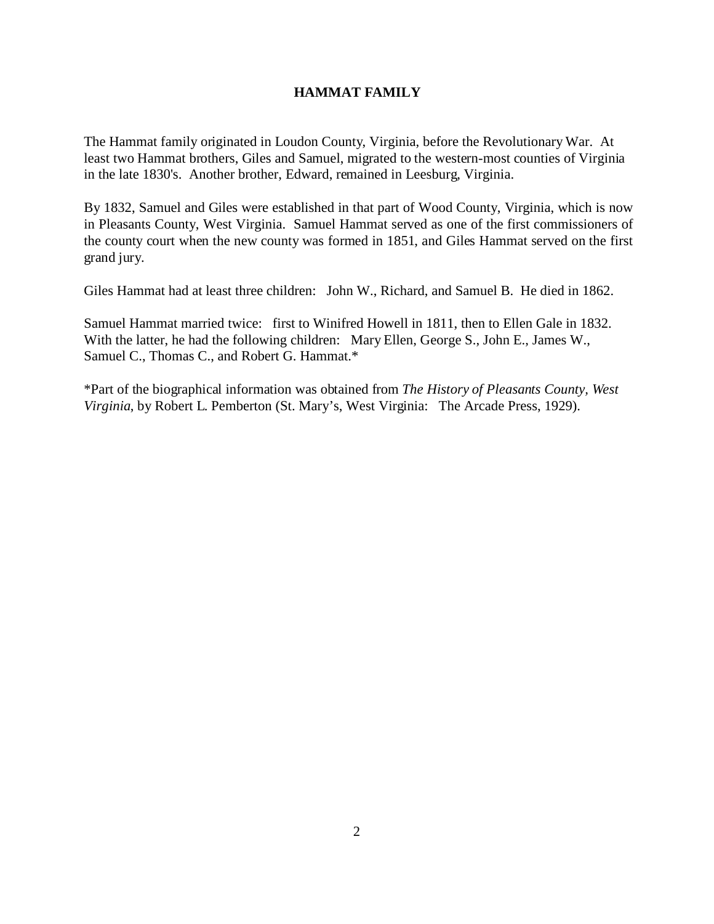### **HAMMAT FAMILY**

The Hammat family originated in Loudon County, Virginia, before the Revolutionary War. At least two Hammat brothers, Giles and Samuel, migrated to the western-most counties of Virginia in the late 1830's. Another brother, Edward, remained in Leesburg, Virginia.

By 1832, Samuel and Giles were established in that part of Wood County, Virginia, which is now in Pleasants County, West Virginia. Samuel Hammat served as one of the first commissioners of the county court when the new county was formed in 1851, and Giles Hammat served on the first grand jury.

Giles Hammat had at least three children: John W., Richard, and Samuel B. He died in 1862.

Samuel Hammat married twice: first to Winifred Howell in 1811, then to Ellen Gale in 1832. With the latter, he had the following children: Mary Ellen, George S., John E., James W., Samuel C., Thomas C., and Robert G. Hammat.\*

\*Part of the biographical information was obtained from *The History of Pleasants County, West Virginia*, by Robert L. Pemberton (St. Mary's, West Virginia: The Arcade Press, 1929).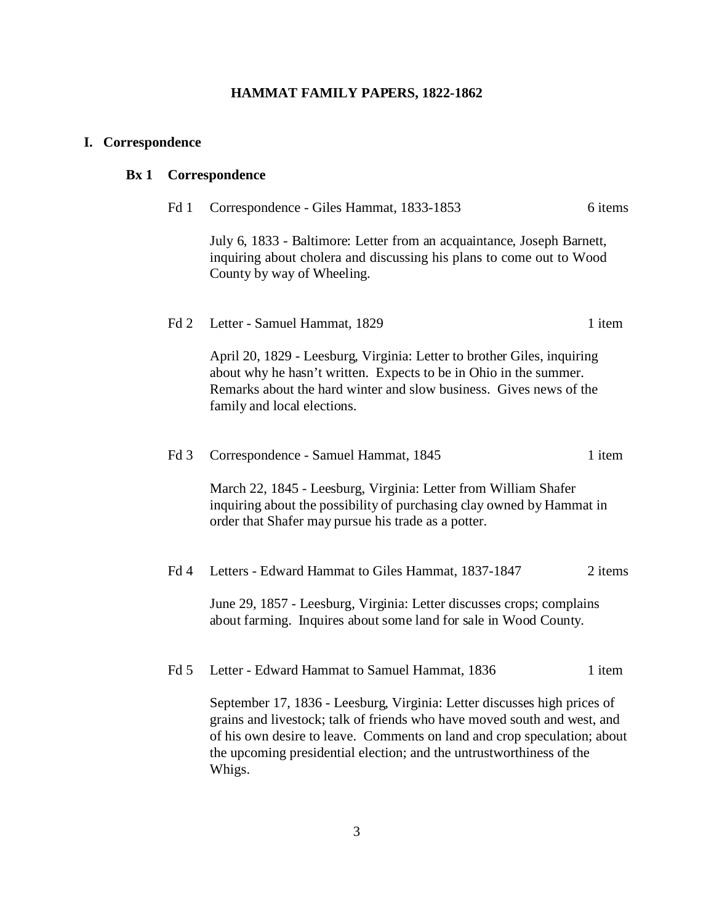# **HAMMAT FAMILY PAPERS, 1822-1862**

# **I. Correspondence**

# **Bx 1 Correspondence**

| Fd 1            | Correspondence - Giles Hammat, 1833-1853                                                                                                                                                                                                                                                                           | 6 items |
|-----------------|--------------------------------------------------------------------------------------------------------------------------------------------------------------------------------------------------------------------------------------------------------------------------------------------------------------------|---------|
|                 | July 6, 1833 - Baltimore: Letter from an acquaintance, Joseph Barnett,<br>inquiring about cholera and discussing his plans to come out to Wood<br>County by way of Wheeling.                                                                                                                                       |         |
| Fd 2            | Letter - Samuel Hammat, 1829                                                                                                                                                                                                                                                                                       | 1 item  |
|                 | April 20, 1829 - Leesburg, Virginia: Letter to brother Giles, inquiring<br>about why he hasn't written. Expects to be in Ohio in the summer.<br>Remarks about the hard winter and slow business. Gives news of the<br>family and local elections.                                                                  |         |
| Fd <sub>3</sub> | Correspondence - Samuel Hammat, 1845                                                                                                                                                                                                                                                                               | 1 item  |
|                 | March 22, 1845 - Leesburg, Virginia: Letter from William Shafer<br>inquiring about the possibility of purchasing clay owned by Hammat in<br>order that Shafer may pursue his trade as a potter.                                                                                                                    |         |
| Fd <sub>4</sub> | Letters - Edward Hammat to Giles Hammat, 1837-1847                                                                                                                                                                                                                                                                 | 2 items |
|                 | June 29, 1857 - Leesburg, Virginia: Letter discusses crops; complains<br>about farming. Inquires about some land for sale in Wood County.                                                                                                                                                                          |         |
| Fd <sub>5</sub> | Letter - Edward Hammat to Samuel Hammat, 1836                                                                                                                                                                                                                                                                      | 1 item  |
|                 | September 17, 1836 - Leesburg, Virginia: Letter discusses high prices of<br>grains and livestock; talk of friends who have moved south and west, and<br>of his own desire to leave. Comments on land and crop speculation; about<br>the upcoming presidential election; and the untrustworthiness of the<br>Whigs. |         |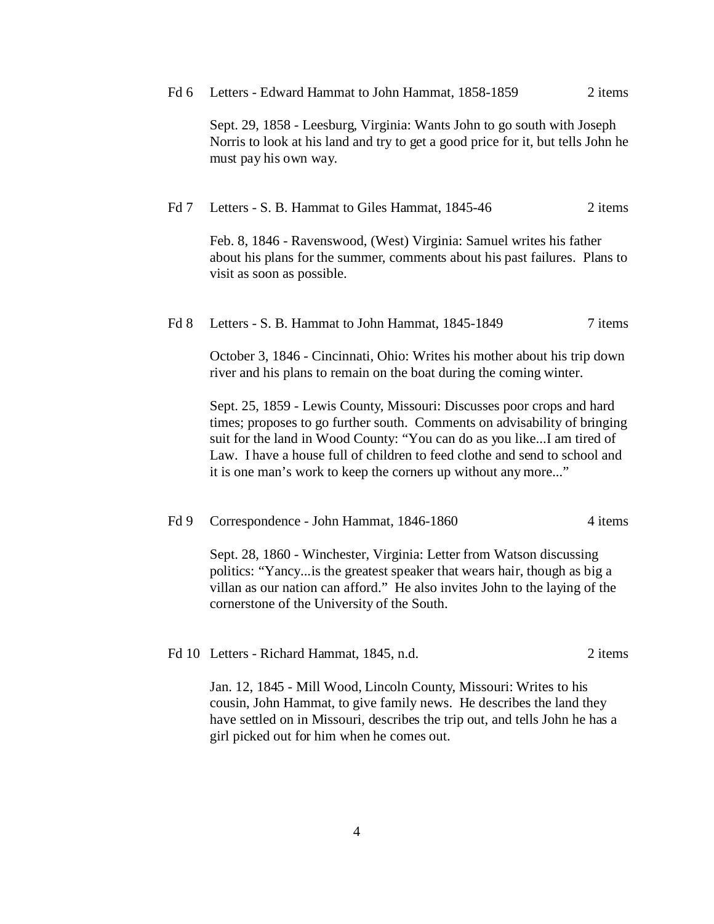Fd 6 Letters - Edward Hammat to John Hammat, 1858-1859 2 items

Sept. 29, 1858 - Leesburg, Virginia: Wants John to go south with Joseph Norris to look at his land and try to get a good price for it, but tells John he must pay his own way.

#### Fd 7 Letters - S. B. Hammat to Giles Hammat, 1845-46 2 items

Feb. 8, 1846 - Ravenswood, (West) Virginia: Samuel writes his father about his plans for the summer, comments about his past failures. Plans to visit as soon as possible.

#### Fd 8 Letters - S. B. Hammat to John Hammat, 1845-1849 7 items

October 3, 1846 - Cincinnati, Ohio: Writes his mother about his trip down river and his plans to remain on the boat during the coming winter.

Sept. 25, 1859 - Lewis County, Missouri: Discusses poor crops and hard times; proposes to go further south. Comments on advisability of bringing suit for the land in Wood County: "You can do as you like...I am tired of Law. I have a house full of children to feed clothe and send to school and it is one man's work to keep the corners up without any more..."

#### Fd 9 Correspondence - John Hammat, 1846-1860 4 items

Sept. 28, 1860 - Winchester, Virginia: Letter from Watson discussing politics: "Yancy...is the greatest speaker that wears hair, though as big a villan as our nation can afford." He also invites John to the laying of the cornerstone of the University of the South.

### Fd 10 Letters - Richard Hammat, 1845, n.d. 2 items

Jan. 12, 1845 - Mill Wood, Lincoln County, Missouri: Writes to his cousin, John Hammat, to give family news. He describes the land they have settled on in Missouri, describes the trip out, and tells John he has a girl picked out for him when he comes out.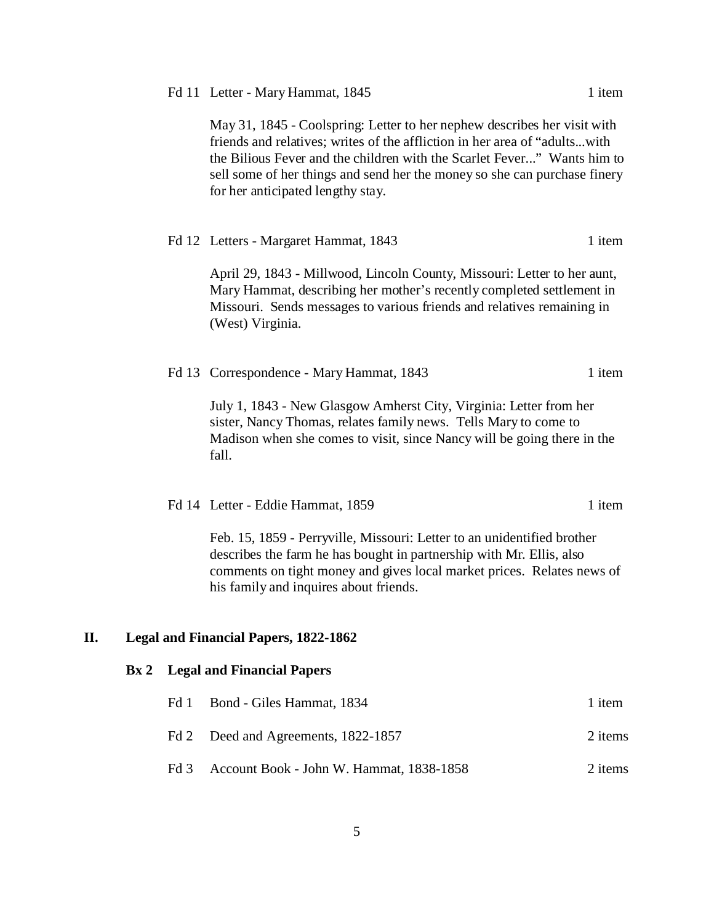|  |  | Fd 11 Letter - Mary Hammat, 1845 | 1 item |
|--|--|----------------------------------|--------|
|--|--|----------------------------------|--------|

May 31, 1845 - Coolspring: Letter to her nephew describes her visit with friends and relatives; writes of the affliction in her area of "adults...with the Bilious Fever and the children with the Scarlet Fever..." Wants him to sell some of her things and send her the money so she can purchase finery for her anticipated lengthy stay.

|     | Fd 12 Letters - Margaret Hammat, 1843                                                                                                                                                                                                                               | 1 item |
|-----|---------------------------------------------------------------------------------------------------------------------------------------------------------------------------------------------------------------------------------------------------------------------|--------|
|     | April 29, 1843 - Millwood, Lincoln County, Missouri: Letter to her aunt,<br>Mary Hammat, describing her mother's recently completed settlement in<br>Missouri. Sends messages to various friends and relatives remaining in<br>(West) Virginia.                     |        |
|     | Fd 13 Correspondence - Mary Hammat, 1843                                                                                                                                                                                                                            | 1 item |
|     | July 1, 1843 - New Glasgow Amherst City, Virginia: Letter from her<br>sister, Nancy Thomas, relates family news. Tells Mary to come to<br>Madison when she comes to visit, since Nancy will be going there in the<br>fall.                                          |        |
|     | Fd 14 Letter - Eddie Hammat, 1859                                                                                                                                                                                                                                   | 1 item |
|     | Feb. 15, 1859 - Perryville, Missouri: Letter to an unidentified brother<br>describes the farm he has bought in partnership with Mr. Ellis, also<br>comments on tight money and gives local market prices. Relates news of<br>his family and inquires about friends. |        |
| II. | <b>Legal and Financial Papers, 1822-1862</b>                                                                                                                                                                                                                        |        |

## **Bx 2 Legal and Financial Papers**

| Fd 1 Bond - Giles Hammat, 1834                | 1 item  |
|-----------------------------------------------|---------|
| Fd 2 Deed and Agreements, 1822-1857           | 2 items |
| Fd 3 Account Book - John W. Hammat, 1838-1858 | 2 items |